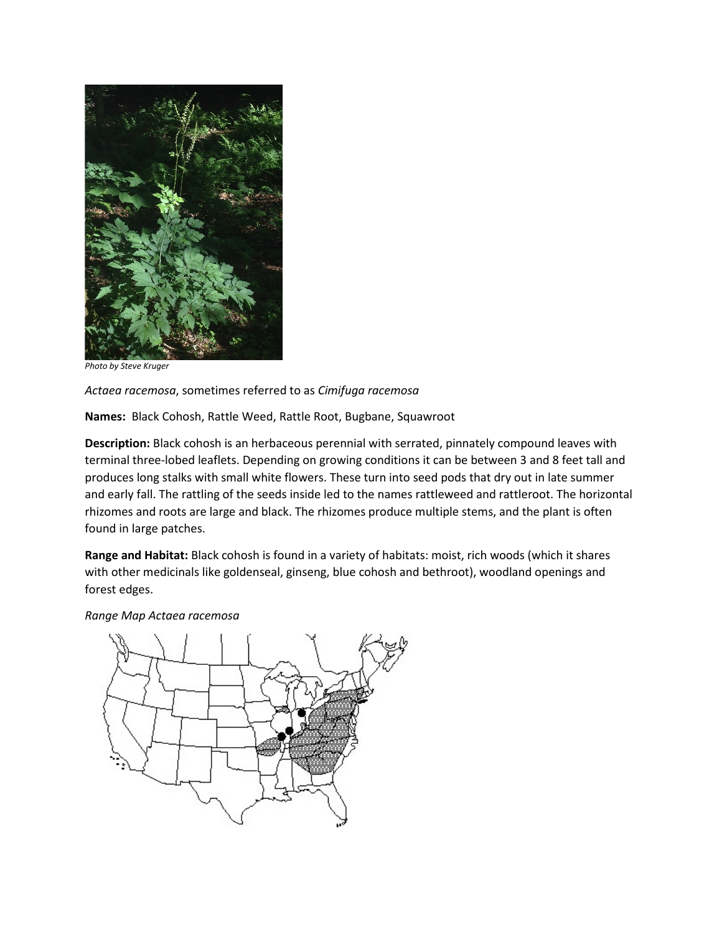

*Photo by Steve Kruger*

*Actaea racemosa*, sometimes referred to as *Cimifuga racemosa*

**Names:** Black Cohosh, Rattle Weed, Rattle Root, Bugbane, Squawroot

**Description:** Black cohosh is an herbaceous perennial with serrated, pinnately compound leaves with terminal three-lobed leaflets. Depending on growing conditions it can be between 3 and 8 feet tall and produces long stalks with small white flowers. These turn into seed pods that dry out in late summer and early fall. The rattling of the seeds inside led to the names rattleweed and rattleroot. The horizontal rhizomes and roots are large and black. The rhizomes produce multiple stems, and the plant is often found in large patches.

**Range and Habitat:** Black cohosh is found in a variety of habitats: moist, rich woods (which it shares with other medicinals like goldenseal, ginseng, blue cohosh and bethroot), woodland openings and forest edges.

*Range Map Actaea racemosa*

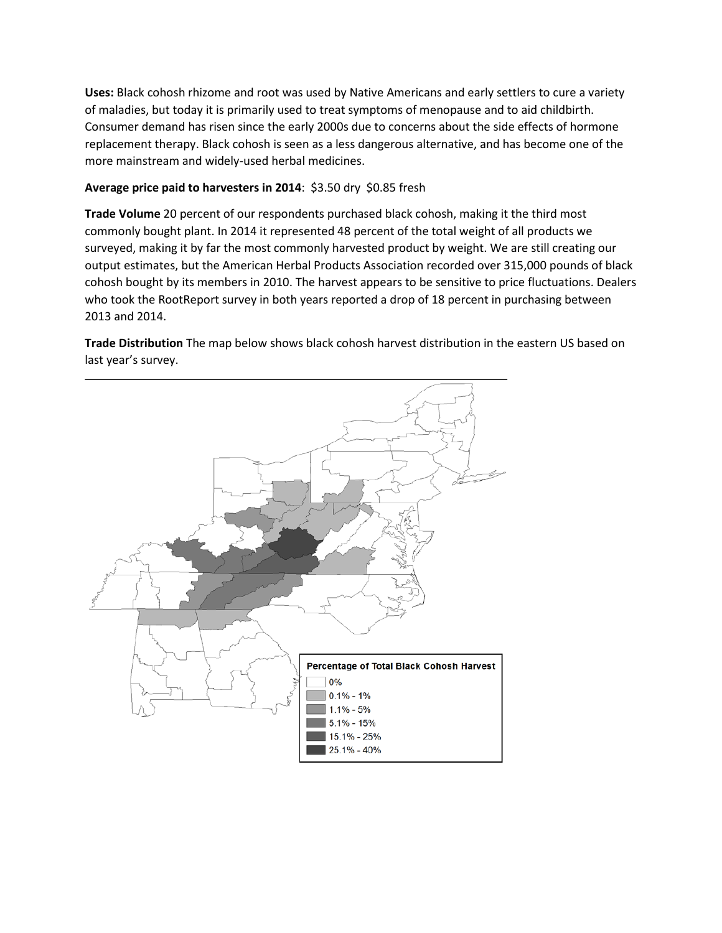**Uses:** Black cohosh rhizome and root was used by Native Americans and early settlers to cure a variety of maladies, but today it is primarily used to treat symptoms of menopause and to aid childbirth. Consumer demand has risen since the early 2000s due to concerns about the side effects of hormone replacement therapy. Black cohosh is seen as a less dangerous alternative, and has become one of the more mainstream and widely-used herbal medicines.

## **Average price paid to harvesters in 2014**: \$3.50 dry \$0.85 fresh

**Trade Volume** 20 percent of our respondents purchased black cohosh, making it the third most commonly bought plant. In 2014 it represented 48 percent of the total weight of all products we surveyed, making it by far the most commonly harvested product by weight. We are still creating our output estimates, but the American Herbal Products Association recorded over 315,000 pounds of black cohosh bought by its members in 2010. The harvest appears to be sensitive to price fluctuations. Dealers who took the RootReport survey in both years reported a drop of 18 percent in purchasing between 2013 and 2014.

**Trade Distribution** The map below shows black cohosh harvest distribution in the eastern US based on last year's survey.